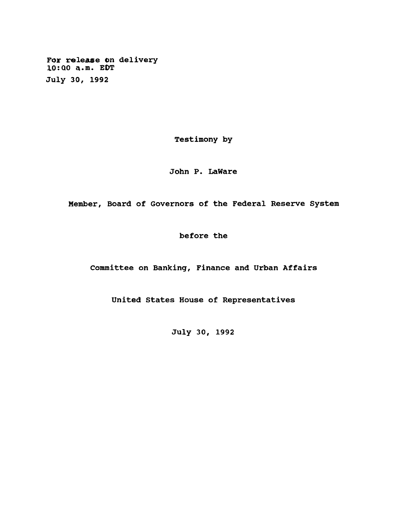**For release on delivery 10:Q0 a.m. EOT July 30, 1992**

**Testimony by**

**John P. LaWare**

**Member, Board of Governors of the Federal Reserve System**

**before the**

**Committee on Banking, Finance and Urban Affairs**

**United States House of Representatives**

**July 30, 1992**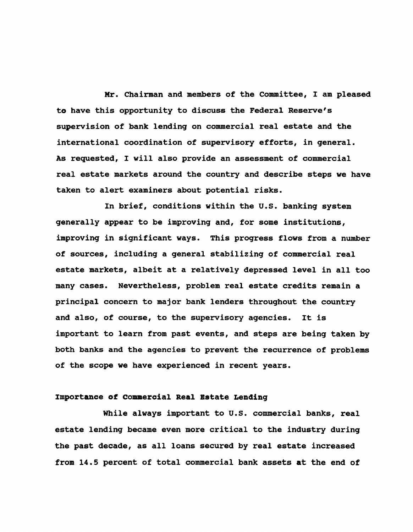**Mr. Chairman and members of the Committee, I am pleased to have this opportunity to discuss the Federal Reserve's supervision of bank lending on commercial real estate and the international coordination of supervisory efforts, in general. As requested, I will also provide an assessment of commercial real estate markets around the country and describe steps we have taken to alert examiners about potential risks.**

**In brief, conditions within the U.S. banking system generally appear to be improving and, for some institutions, improving in significant ways. This progress flows from a number of sources, including a general stabilizing of commercial real estate markets, albeit at a relatively depressed level in all too many cases. Nevertheless, problem real estate credits remain a principal concern to major bank lenders throughout the country and also, of course, to the supervisory agencies. It is important to learn from past events, and steps are being taken by both banks and the agencies to prevent the recurrence of problems of the scope we have experienced in recent years.**

# **Importance of Commercial Real Estate Lending**

**While always important to U.S. commercial banks, real estate lending became even more critical to the industry during the past decade, as all loans secured by real estate increased from 14.5 percent of total commercial bank assets at the end of**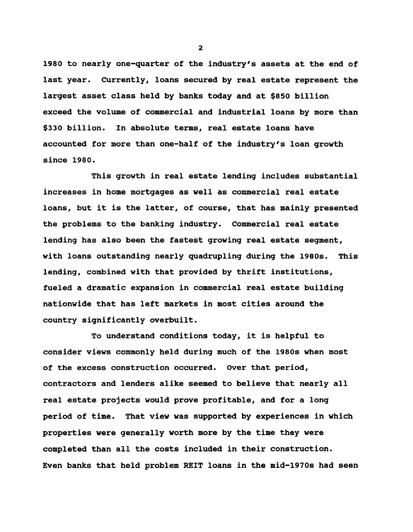**1980 to nearly one-quarter of the industry's assets at the end of last year. Currently, loans secured by real estate represent the largest asset class held by banks today and at \$850 billion exceed the volume of commercial and industrial loans by more than \$330 billion. In absolute terms, real estate loans have accounted for more than one-half of the industry's loan growth since 1980.**

**This growth in real estate lending includes substantial increases in home mortgages as well as commercial real estate loans, but it is the latter, of course, that has mainly presented the problems to the banking industry. Commercial real estate lending has also been the fastest growing real estate segment, with loans outstanding nearly quadrupling during the 1980s. This lending, combined with that provided by thrift institutions, fueled a dramatic expansion in commercial real estate building nationwide that has left markets in most cities around the country significantly overbuilt.**

**To understand conditions today, it is helpful to consider views commonly held during much of the 1980s when most of the excess construction occurred. Over that period, contractors and lenders alike seemed to believe that nearly all real estate projects would prove profitable, and for a long period of time. That view was supported by experiences in which properties were generally worth more by the time they were completed than all the costs included in their construction. Even banks that held problem REIT loans in the mid-1970s had seen**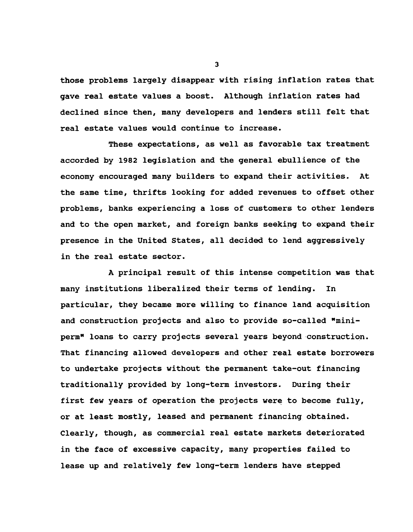**those problems largely disappear with rising inflation rates that gave real estate values a boost. Although inflation rates had declined since then, many developers and lenders still felt that real estate values would continue to increase.**

**These expectations, as well as favorable tax treatment accorded by 1982 legislation and the general ebullience of the economy encouraged many builders to expand their activities. At the same time, thrifts looking for added revenues to offset other problems, banks experiencing a loss of customers to other lenders and to the open market, and foreign banks seeking to expand their presence in the United States, all decided to lend aggressively in the real estate sector.**

**A principal result of this intense competition was that many institutions liberalized their terms of lending. In particular, they became more willing to finance land acquisition and construction projects and also to provide so-called "miniperm" loans to carry projects several years beyond construction. That financing allowed developers and other real estate borrowers to undertake projects without the permanent take-out financing traditionally provided by long-term investors. During their first few years of operation the projects were to become fully, or at least mostly, leased and permanent financing obtained. Clearly, though, as commercial real estate markets deteriorated in the face of excessive capacity, many properties failed to lease up and relatively few long-term lenders have stepped**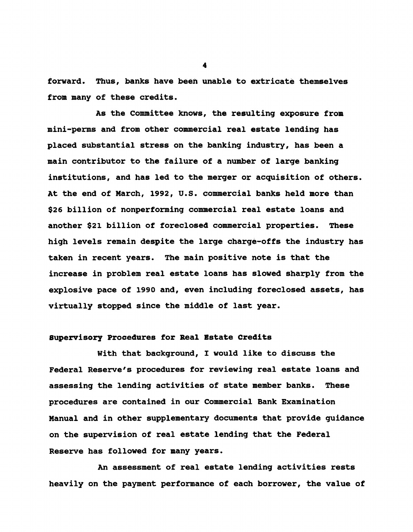**forward. Thus, banks have been unable to extricate themselves from many of these credits.**

**As the Committee knows, the resulting exposure from mini-perms and from other commercial real estate lending has placed substantial stress on the banking industry, has been a main contributor to the failure of a number of large banking institutions, and has led to the merger or acquisition of others. At the end of March, 1992, U.S. commercial banks held more than \$26 billion of nonperforming commercial real estate loans and another \$21 billion of foreclosed commercial properties. These high levels remain despite the large charge-offs the industry has taken in recent years. The main positive note is that the increase in problem real estate loans has slowed sharply from the explosive pace of 1990 and, even including foreclosed assets, has virtually stopped since the middle of last year.**

# **Supervisory Procedures for Real Estate Credits**

**With that background, I would like to discuss the Federal Reserve's procedures for reviewing real estate loans and assessing the lending activities of state member banks. These procedures are contained in our Commercial Bank Examination Manual and in other supplementary documents that provide guidance on the supervision of real estate lending that the Federal Reserve has followed for many years.**

**An assessment of real estate lending activities rests heavily on the payment performance of each borrower, the value of**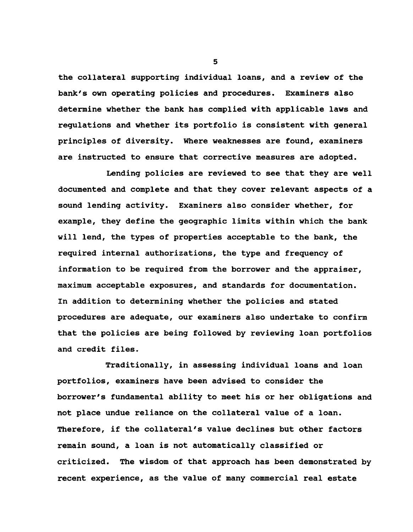**the collateral supporting individual loans, and a review of the bank's own operating policies and procedures. Examiners also determine whether the bank has complied with applicable laws and regulations and whether its portfolio is consistent with general principles of diversity. Where weaknesses are found, examiners are instructed to ensure that corrective measures are adopted.**

**Lending policies are reviewed to see that they are well documented and complete and that they cover relevant aspects of a sound lending activity. Examiners also consider whether, for example, they define the geographic limits within which the bank will lend, the types of properties acceptable to the bank, the required internal authorizations, the type and frequency of information to be required from the borrower and the appraiser, maximum acceptable exposures, and standards for documentation. In addition to determining whether the policies and stated procedures are adequate, our examiners also undertake to confirm that the policies are being followed by reviewing loan portfolios and credit files.**

**Traditionally, in assessing individual loans and loan portfolios, examiners have been advised to consider the borrower's fundamental ability to meet his or her obligations and not place undue reliance on the collateral value of a loan. Therefore, if the collateral's value declines but other factors remain sound, a loan is not automatically classified or criticized. The wisdom of that approach has been demonstrated by recent experience, as the value of many commercial real estate**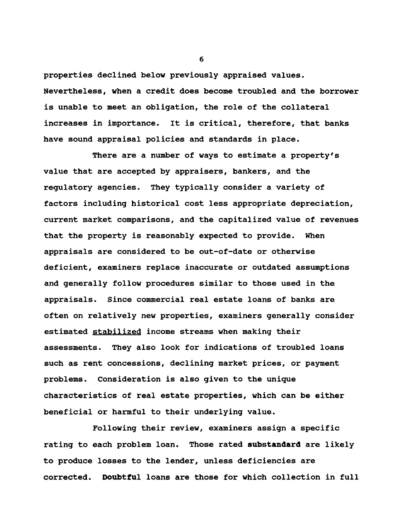**properties declined below previously appraised values. Nevertheless, when a credit does become troubled and the borrower is unable to meet an obligation, the role of the collateral increases in importance. It is critical, therefore, that banks have sound appraisal policies and standards in place.**

**There are a number of ways to estimate a property's value that are accepted by appraisers, bankers, and the regulatory agencies. They typically consider a variety of factors including historical cost less appropriate depreciation, current market comparisons, and the capitalized value of revenues that the property is reasonably expected to provide. When appraisals are considered to be out-of-date or otherwise deficient, examiners replace inaccurate or outdated assumptions and generally follow procedures similar to those used in the appraisals. Since commercial real estate loans of banks are often on relatively new properties, examiners generally consider estimated stabilized income streams when making their assessments. They also look for indications of troubled loans such as rent concessions, declining market prices, or payment problems. Consideration is also given to the unique characteristics of real estate properties, which can be either beneficial or harmful to their underlying value.**

**Following their review, examiners assign a specific rating to each problem loan. Those rated substandard are likely to produce losses to the lender, unless deficiencies are corrected. Doubtful loans are those for which collection in full**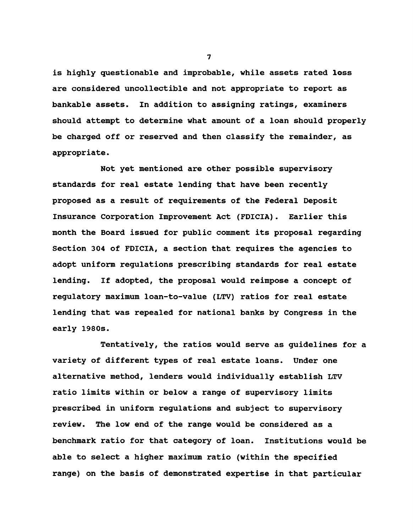**is highly questionable and improbable, while assets rated loss are considered uncollectible and not appropriate to report as bankable assets. In addition to assigning ratings, examiners should attempt to determine what amount of a loan should properly be charged off or reserved and then classify the remainder, as appropriate.**

**Not yet mentioned are other possible supervisory standards for real estate lending that have been recently proposed as a result of requirements of the Federal Deposit Insurance Corporation Improvement Act (FDICIA). Earlier this month the Board issued for public comment its proposal regarding Section 304 of FDICIA, a section that requires the agencies to adopt uniform regulations prescribing standards for real estate lending. If adopted, the proposal would reimpose a concept of regulatory maximum loan-to-value (LTV) ratios for real estate lending that was repealed for national banks by Congress in the early 1980s.**

**Tentatively, the ratios would serve as guidelines for a variety of different types of real estate loans. Under one alternative method, lenders would individually establish LTV ratio limits within or below a range of supervisory limits prescribed in uniform regulations and subject to supervisory review. The low end of the range would be considered as a benchmark ratio for that category of loan. Institutions would be able to select a higher maximum ratio (within the specified range) on the basis of demonstrated expertise in that particular**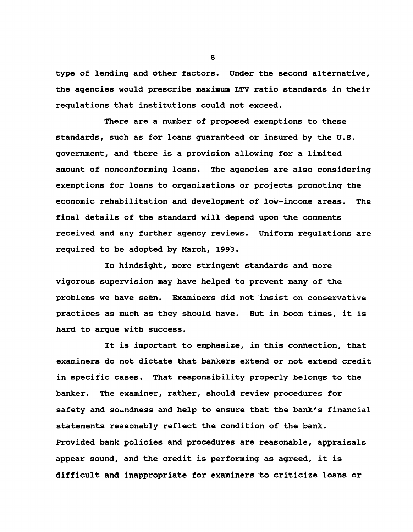**type of lending and other factors. Under the second alternative, the agencies would prescribe maximum LTV ratio standards in their regulations that institutions could not exceed.**

**There are a number of proposed exemptions to these standards, such as for loans guaranteed or insured by the U.S. government, and there is a provision allowing for a limited amount of nonconforming loans. The agencies are also considering exemptions for loans to organizations or projects promoting the economic rehabilitation and development of low-income areas. The final details of the standard will depend upon the comments received and any further agency reviews. Uniform régulations are required to be adopted by March, 1993.**

**In hindsight, more stringent standards and more vigorous supervision may have helped to prevent many of the problems we have seen. Examiners did not insist on conservative practices as much as they should have. But in boom times, it is hard to argue with success.**

**It is important to emphasize, in this connection, that examiners do not dictate that bankers extend or not extend credit in specific cases. That responsibility properly belongs to the banker. The examiner, rather, should review procedures for safety and soundness and help to ensure that the bank's financial statements reasonably reflect the condition of the bank. Provided bank policies and procedures are reasonable, appraisals appear sound, and the credit is performing as agreed, it is difficult and inappropriate for examiners to criticize loans or**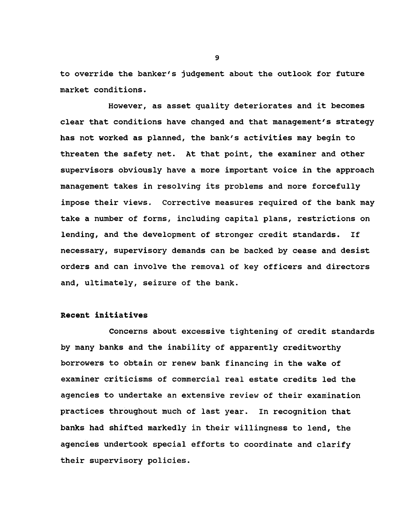**to override the banker's judgement about the outlook for future market conditions.**

**However, as asset quality deteriorates and it becomes clear that conditions have changed and that management's strategy has not worked as planned, the bank's activities may begin to threaten the safety net. At that point, the examiner and other supervisors obviously have a more important voice in the approach management takes in resolving its problems and more forcefully impose their views. Corrective measures required of the bank may take a number of forms, including capital plans, restrictions on lending, and thé development of stronger credit standards. If necessary, supervisory demands can be backed by cease and desist orders and can involve the removal of key officers and directors and, ultimately, seizure of the bank.**

# **Recent initiatives**

**Concerns about excessive tightening of credit standards by many banks and the inability of apparently creditworthy borrowers to obtain or renew bank financing in the wake of examiner criticisms of commercial real estate credits led the agencies to undertake an extensive review of their examination practices throughout much of last year. In recognition that banks had shifted markedly in their willingness to lend, the agencies undertook special efforts to coordinate and clarify their supervisory policies.**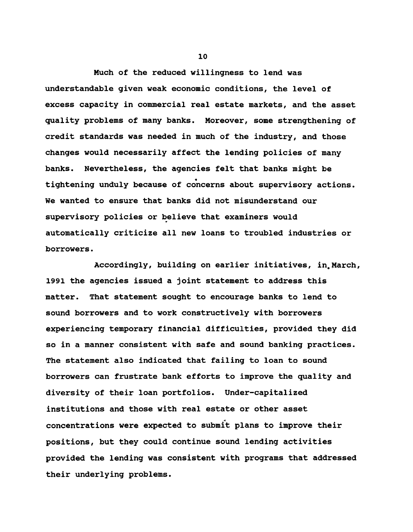**Much of the reduced willingness to lend was understandable given weak economic conditions, the level of excess capacity in commercial real estate markets, and the asset quality problems of many banks. Moreover, some strengthening of credit standards was needed in much of the industry, and those changes would necessarily affect the lending policies of many banks. Nevertheless, the agencies felt that banks might be « tightening unduly because of concerns about supervisory actions. We wanted to ensure that banks did not misunderstand our supervisory policies or believe that examiners would automatically criticize all new loans to troubled industries or borrowers.**

**Accordingly, building on earlier initiatives, in^March, 1991 the agencies issued a joint statement to address this matter. That statement sought to encourage banks to lend to sound borrowers and to work constructively with borrowers experiencing temporary financial difficulties, provided they did so in a manner consistent with safe and sound banking practices. The statement also indicated that failing to loan to sound borrowers can frustrate bank efforts to improve the quality and diversity of their loan portfolios. Under-capitalized institutions and those with real estate or other asset concentrations were expected to submit plans to improve their positions, but they could continue sound lending activities provided the lending was consistent with programs that addressed their underlying problems.**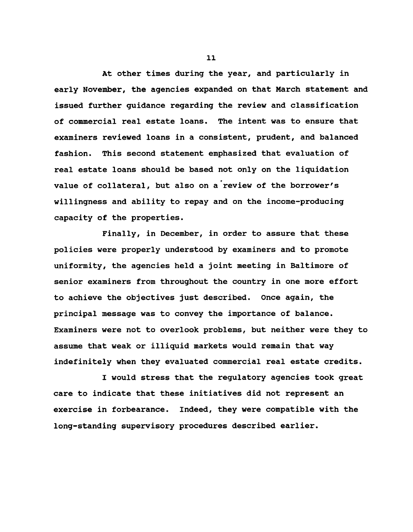**At other times during the year, and particularly in early November, the agencies expanded on that March statement and issued further guidance regarding the review and classification of commercial real estate loans. The intent was to ensure that examiners reviewed loans in a consistent, prudent, and balanced fashion. This second statement emphasized that evaluation of real estate loans should be based not only on the liquidation value of collateral, but also on a review of the borrower's willingness and ability to repay and on the income-producing capacity of the properties.**

**Finally, in December, in order to assure that these policies were properly understood by examiners and to promote uniformity, the agencies held a joint meeting in Baltimore of senior examiners from throughout the country in one more effort to achieve the objectives just described. Once again, the principal message was to convey the importance of balance. Examiners were not to overlook problems, but neither were they to assume that weak or illiquid markets would remain that way indefinitely when they evaluated commercial real estate credits.**

**I would stress that the regulatory agencies took great care to indicate that these initiatives did not represent an exercise in forbearance. Indeed, they were compatible with the long-standing supervisory procedures described earlier.**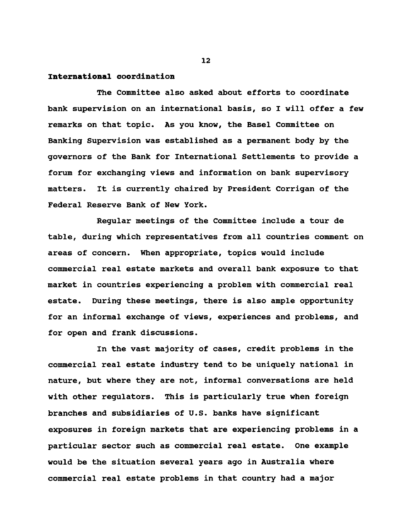# **International coordination**

**The Committee also asked about efforts to coordinate bank supervision on an international basis, so I will offer a few remarks on that topic. As you know, the Basel Committee on Banking Supervision was established as a permanent body by the governors of the Bank for International Settlements to provide a forum for exchanging views and information on bank supervisory matters. It is currently chaired by President Corrigan of the Federal Reserve Bank of New York.**

**Regular meetings of the Committee include a tour de table, during which representatives from all countries comment on areas of concern. When appropriate, topics would include commercial real estate markets and overall bank exposure to that market in countries experiencing a problem with commercial real estate. During these meetings, there is also ample opportunity for an informal exchange of views, experiences and problems, and for open and frank discussions.**

**In the vast majority of cases, credit problems in the commercial real estate industry tend to be uniquely national in nature, but where they are not, informal conversations are held with other regulators. This is particularly true when foreign branches and subsidiaries of U.S. banks have significant exposures in foreign markets that are experiencing problems in a particular sector such as commercial real estate. One example would be the situation several years ago in Australia where commercial real estate problems in that country had a major**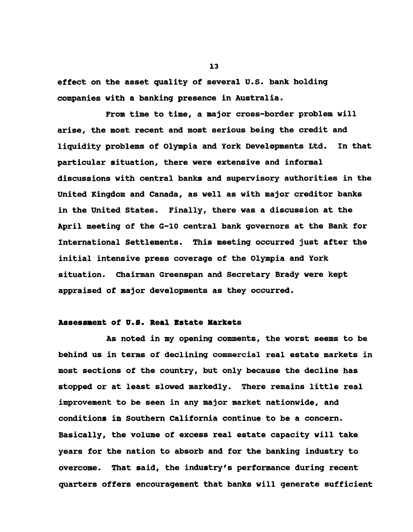**effect on the asset quality of several U.S. bank holding companies with a banking presence in Australia.**

**From time to time, a major cross-border problem will arise, the most recent and most serious being the credit and liquidity problems of Olympia and York Developments Ltd. In that particular situation, there were extensive and informal discussions with central banks and supervisory authorities in the United Kingdom and Canada, as well as with major creditor banks in the United States. Finally, there was a discussion at the April meeting of the G-10 central bank governors at the Bank for International Settlements. This meeting occurred just after the initial intensive press coverage of the Olympia and York situation. Chairman Greenspan and Secretary Brady were kept appraised of major developments as they occurred.**

# **Assessment of U.S. Real Estate Markets**

**As noted in my opening comments, the worst seems to be behind us in terms of declining commercial real estate markets in most sections of the country, but only because the decline has stopped or at least slowed markedly. There remains little real improvement to be seen in any major market nationwide, and conditions in Southern California continue to be a concern. Basically, the volume of excess real estate capacity will take years for the nation to absorb and for the banking industry to overcome. That said, the industry's performance during recent quarters offers encouragement that banks will generate sufficient**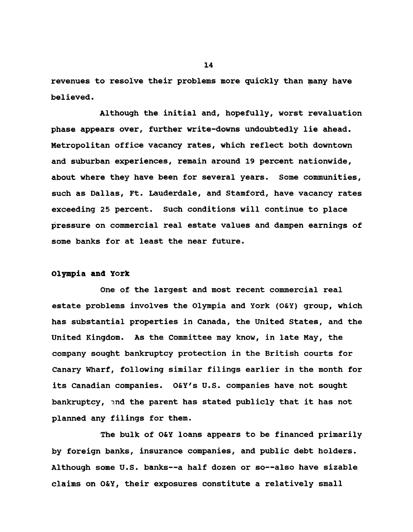**revenues to resolve their problems more quickly than many have believed.**

**Although the initial and, hopefully, worst revaluation phase appears over, further write-downs undoubtedly lie ahead. Metropolitan office vacancy rates, which reflect both downtown and suburban experiences, remain around 19 percent nationwide, about where they have been for several years. Some communities, such as Dallas, Ft. Lauderdale, and Stamford, have vacancy rates exceeding 25 percent. Such conditions will continue to place pressure on commercial real estate values and dampen earnings of some banks for at least the near future.**

# **Olympia and York**

**One of the largest and most recent commercial real estate problems involves the Olympia and York (O&Y) group, which has substantial properties in Canada, the United States, and the United Kingdom. As the Committee may know, in late May, the company sought bankruptcy protection in the British courts for Canary Wharf, following similar filings earlier in the month for its Canadian companies. O&Y's U.S. companies have not sought bankruptcy, and the parent has stated publicly that it has not planned any filings for them.**

**The bulk of O&Y loans appears to be financed primarily by foreign banks, insurance companies, and public debt holders. Although some U.S. banks— a half dozen or so— also have sizable claims on O&Y, their exposures constitute a relatively small**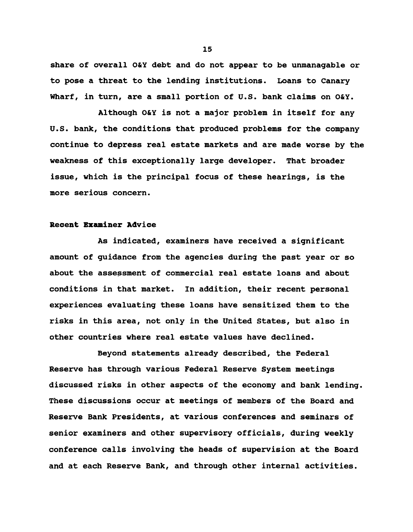**share of overall O&Y debt and do not appear to be unmanagable or to pose a threat to the lending institutions. Loans to Canary Wharf, in turn, are a small portion of U.S. bank claims on O&Y.**

**Although O&Y is not a major problem in itself for any U.S. bank, the conditions that produced problems for the company continue to depress real estate markets and are made worse by the weakness of this exceptionally large developer. That broader issue, which is the principal focus of these hearings, is the more serious concern.**

#### **Recent Examiner Advice**

**As indicated, examiners have received a significant amount of guidance from the agencies during the past year or so about the assessment of commercial real estate loans and about conditions in that market. In addition, their recent personal experiences evaluating these loans have sensitized them to the risks in this area, not only in the United States, but also in other countries where real estate values have declined.**

**Beyond statements already described, the Federal Reserve has through various Federal Reserve System meetings discussed risks in other aspects of the economy and bank lending. These discussions occur at meetings of members of the Board and Reserve Bank Presidents, at various conferences and seminars of senior examiners and other supervisory officials, during weekly conference calls involving the heads of supervision at the Board and at each Reserve Bank, and through other internal activities.**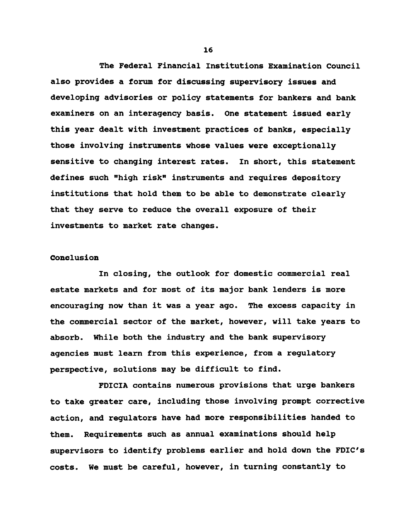**The Federal Financial Institutions Examination Council also provides a forum for discussing supervisory issues and developing advisories or policy statements for bankers and bank examiners on an interagency basis. One statement issued early this year dealt with investment practices of banks, especially those involving instruments whose values were exceptionally sensitive to changing interest rates. In short, this statement defines such "high risk" instruments and requires depository institutions that hold them to be able to demonstrate clearly that they serve to reduce the overall exposure of their investments to market rate changes.**

### **Conclusion**

**In closing, the outlook for domestic commercial real estate markets and for most of its major bank lenders is more encouraging now than it was a year ago. The excess capacity in the commercial sector of the market, however, will take years to absorb. While both the industry and the bank supervisory agencies must learn from this experience, from a regulatory perspective, solutions may be difficult to find.**

**FDICIA contains numerous provisions that urge bankers to take greater care, including those involving prompt corrective action, and regulators have had more responsibilities handed to them. Requirements such as annual examinations should help supervisors to identify problems earlier and hold down the FDIC's costs. We must be careful, however, in turning constantly to**